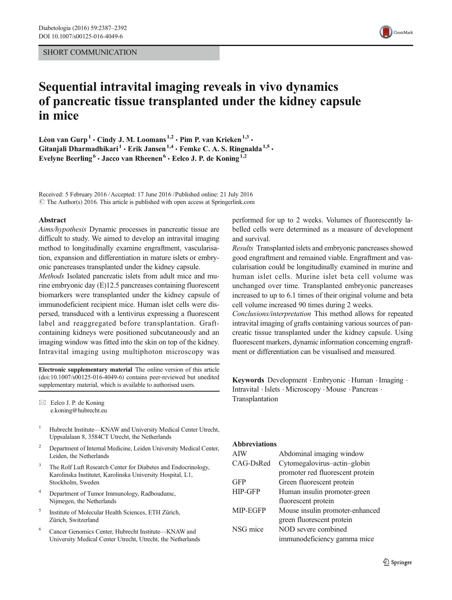#### SHORT COMMUNICATION



# Sequential intravital imaging reveals in vivo dynamics of pancreatic tissue transplanted under the kidney capsule in mice

Léon van Gurp<sup>1</sup> · Cindy J. M. Loomans<sup>1,2</sup> · Pim P. van Krieken<sup>1,3</sup> · Gitanjali Dharmadhikari<sup>1</sup>  $\cdot$  Erik Jansen<sup>1,4</sup>  $\cdot$  Femke C. A. S. Ringnalda<sup>1,5</sup>  $\cdot$ Evelyne Beerling<sup>6</sup>  $\cdot$  Jacco van Rheenen<sup>6</sup>  $\cdot$  Eelco J. P. de Koning<sup>1,2</sup>

Received: 5 February 2016 /Accepted: 17 June 2016 /Published online: 21 July 2016  $\circ$  The Author(s) 2016. This article is published with open access at Springerlink.com

#### Abstract

Aims/hypothesis Dynamic processes in pancreatic tissue are difficult to study. We aimed to develop an intravital imaging method to longitudinally examine engraftment, vascularisation, expansion and differentiation in mature islets or embryonic pancreases transplanted under the kidney capsule.

Methods Isolated pancreatic islets from adult mice and murine embryonic day (E)12.5 pancreases containing fluorescent biomarkers were transplanted under the kidney capsule of immunodeficient recipient mice. Human islet cells were dispersed, transduced with a lentivirus expressing a fluorescent label and reaggregated before transplantation. Graftcontaining kidneys were positioned subcutaneously and an imaging window was fitted into the skin on top of the kidney. Intravital imaging using multiphoton microscopy was

Electronic supplementary material The online version of this article (doi[:10.1007/s00125-016-4049-6\)](http://dx.doi.org/10.1007/s00125-016-4049-6) contains peer-reviewed but unedited supplementary material, which is available to authorised users.

 $\boxtimes$  Eelco J. P. de Koning e.koning@hubrecht.eu

- <sup>1</sup> Hubrecht Institute—KNAW and University Medical Center Utrecht, Uppsalalaan 8, 3584CT Utrecht, the Netherlands
- <sup>2</sup> Department of Internal Medicine, Leiden University Medical Center, Leiden, the Netherlands
- <sup>3</sup> The Rolf Luft Research Center for Diabetes and Endocrinology, Karolinska Institutet, Karolinska University Hospital, L1, Stockholm, Sweden
- <sup>4</sup> Department of Tumor Immunology, Radboudumc, Nijmegen, the Netherlands
- <sup>5</sup> Institute of Molecular Health Sciences, ETH Zürich, Zürich, Switzerland
- <sup>6</sup> Cancer Genomics Center, Hubrecht Institute—KNAW and University Medical Center Utrecht, Utrecht, the Netherlands

performed for up to 2 weeks. Volumes of fluorescently labelled cells were determined as a measure of development and survival.

Results Transplanted islets and embryonic pancreases showed good engraftment and remained viable. Engraftment and vascularisation could be longitudinally examined in murine and human islet cells. Murine islet beta cell volume was unchanged over time. Transplanted embryonic pancreases increased to up to 6.1 times of their original volume and beta cell volume increased 90 times during 2 weeks.

Conclusions/interpretation This method allows for repeated intravital imaging of grafts containing various sources of pancreatic tissue transplanted under the kidney capsule. Using fluorescent markers, dynamic information concerning engraftment or differentiation can be visualised and measured.

Keywords Development . Embryonic . Human . Imaging . Intravital . Islets . Microscopy . Mouse . Pancreas . Transplantation

#### Abbreviations

| AIW            | Abdominal imaging window         |
|----------------|----------------------------------|
| CAG-DsRed      | Cytomegalovirus-actin-globin     |
|                | promoter red fluorescent protein |
| GFP            | Green fluorescent protein        |
| <b>HIP-GFP</b> | Human insulin promoter-green     |
|                | fluorescent protein              |
| MIP-EGFP       | Mouse insulin promoter-enhanced  |
|                | green fluorescent protein        |
| NSG mice       | NOD severe combined              |
|                | immunodeficiency gamma mice      |
|                |                                  |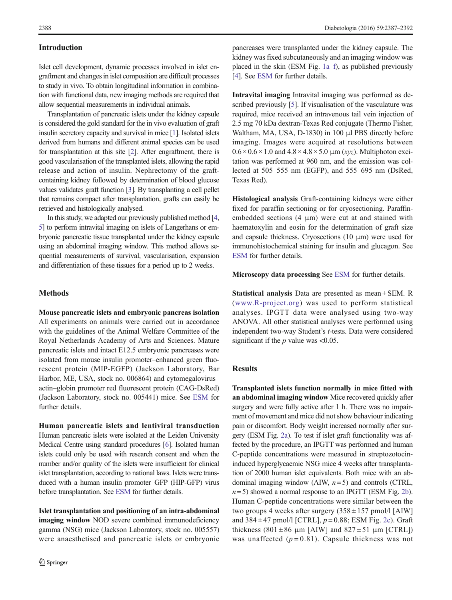### Introduction

Islet cell development, dynamic processes involved in islet engraftment and changes in islet composition are difficult processes to study in vivo. To obtain longitudinal information in combination with functional data, new imaging methods are required that allow sequential measurements in individual animals.

Transplantation of pancreatic islets under the kidney capsule is considered the gold standard for the in vivo evaluation of graft insulin secretory capacity and survival in mice [\[1\]](#page-4-0). Isolated islets derived from humans and different animal species can be used for transplantation at this site [\[2\]](#page-4-0). After engraftment, there is good vascularisation of the transplanted islets, allowing the rapid release and action of insulin. Nephrectomy of the graftcontaining kidney followed by determination of blood glucose values validates graft function [\[3\]](#page-4-0). By transplanting a cell pellet that remains compact after transplantation, grafts can easily be retrieved and histologically analysed.

In this study, we adapted our previously published method [\[4,](#page-4-0) [5\]](#page-4-0) to perform intravital imaging on islets of Langerhans or embryonic pancreatic tissue transplanted under the kidney capsule using an abdominal imaging window. This method allows sequential measurements of survival, vascularisation, expansion and differentiation of these tissues for a period up to 2 weeks.

# **Methods**

Mouse pancreatic islets and embryonic pancreas isolation All experiments on animals were carried out in accordance with the guidelines of the Animal Welfare Committee of the Royal Netherlands Academy of Arts and Sciences. Mature pancreatic islets and intact E12.5 embryonic pancreases were isolated from mouse insulin promoter–enhanced green fluorescent protein (MIP-EGFP) (Jackson Laboratory, Bar Harbor, ME, USA, stock no. 006864) and cytomegalovirus– actin–globin promoter red fluorescent protein (CAG-DsRed) (Jackson Laboratory, stock no. 005441) mice. See ESM for further details.

Human pancreatic islets and lentiviral transduction Human pancreatic islets were isolated at the Leiden University Medical Centre using standard procedures [[6](#page-4-0)]. Isolated human islets could only be used with research consent and when the number and/or quality of the islets were insufficient for clinical islet transplantation, according to national laws. Islets were transduced with a human insulin promoter–GFP (HIP-GFP) virus before transplantation. See ESM for further details.

Islet transplantation and positioning of an intra-abdominal imaging window NOD severe combined immunodeficiency gamma (NSG) mice (Jackson Laboratory, stock no. 005557) were anaesthetised and pancreatic islets or embryonic

pancreases were transplanted under the kidney capsule. The kidney was fixed subcutaneously and an imaging window was placed in the skin (ESM Fig. 1a–f), as published previously [\[4](#page-4-0)]. See ESM for further details.

Intravital imaging Intravital imaging was performed as described previously [\[5](#page-4-0)]. If visualisation of the vasculature was required, mice received an intravenous tail vein injection of 2.5 mg 70 kDa dextran-Texas Red conjugate (Thermo Fisher, Waltham, MA, USA, D-1830) in 100 μl PBS directly before imaging. Images were acquired at resolutions between  $0.6 \times 0.6 \times 1.0$  and  $4.8 \times 4.8 \times 5.0$  µm (xyz). Multiphoton excitation was performed at 960 nm, and the emission was collected at 505–555 nm (EGFP), and 555–695 nm (DsRed, Texas Red).

Histological analysis Graft-containing kidneys were either fixed for paraffin sectioning or for cryosectioning. Paraffinembedded sections (4 μm) were cut at and stained with haematoxylin and eosin for the determination of graft size and capsule thickness. Cryosections (10 μm) were used for immunohistochemical staining for insulin and glucagon. See ESM for further details.

Microscopy data processing See ESM for further details.

**Statistical analysis** Data are presented as mean  $\pm$  SEM. R ([www.R-project.org](http://www.r-project.org/)) was used to perform statistical analyses. IPGTT data were analysed using two-way ANOVA. All other statistical analyses were performed using independent two-way Student's t-tests. Data were considered significant if the  $p$  value was <0.05.

# **Results**

Transplanted islets function normally in mice fitted with an abdominal imaging window Mice recovered quickly after surgery and were fully active after 1 h. There was no impairment of movement and mice did not show behaviour indicating pain or discomfort. Body weight increased normally after surgery (ESM Fig. 2a). To test if islet graft functionality was affected by the procedure, an IPGTT was performed and human C-peptide concentrations were measured in streptozotocininduced hyperglycaemic NSG mice 4 weeks after transplantation of 2000 human islet equivalents. Both mice with an abdominal imaging window (AIW,  $n=5$ ) and controls (CTRL,  $n= 5$ ) showed a normal response to an IPGTT (ESM Fig. 2b). Human C-peptide concentrations were similar between the two groups 4 weeks after surgery  $(358 \pm 157 \text{ pmol/l}$  [AIW] and  $384 \pm 47$  pmol/l [CTRL],  $p = 0.88$ ; ESM Fig. 2c). Graft thickness (801  $\pm$  86  $\mu$ m [AIW] and 827  $\pm$  51  $\mu$ m [CTRL]) was unaffected  $(p=0.81)$ . Capsule thickness was not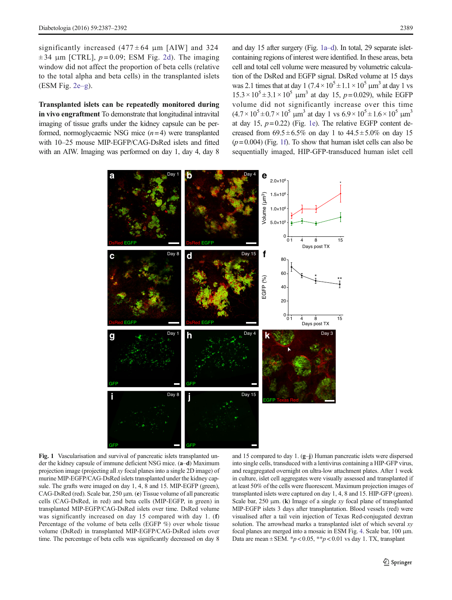<span id="page-2-0"></span>significantly increased  $(477 \pm 64 \text{ µm}$  [AIW] and 324  $\pm$  34 μm [CTRL],  $p = 0.09$ ; ESM Fig. 2d). The imaging window did not affect the proportion of beta cells (relative to the total alpha and beta cells) in the transplanted islets (ESM Fig. 2e–g).

Transplanted islets can be repeatedly monitored during in vivo engraftment To demonstrate that longitudinal intravital imaging of tissue grafts under the kidney capsule can be performed, normoglycaemic NSG mice  $(n=4)$  were transplanted with 10–25 mouse MIP-EGFP/CAG-DsRed islets and fitted with an AIW. Imaging was performed on day 1, day 4, day 8

and day 15 after surgery (Fig. 1a–d). In total, 29 separate isletcontaining regions of interest were identified. In these areas, beta cell and total cell volume were measured by volumetric calculation of the DsRed and EGFP signal. DsRed volume at 15 days was 2.1 times that at day 1  $(7.4 \times 10^5 \pm 1.1 \times 10^5 \mu m^3)$  at day 1 vs  $15.3 \times 10^5 \pm 3.1 \times 10^5$  µm<sup>3</sup> at day 15, p=0.029), while EGFP volume did not significantly increase over this time  $(4.7 \times 10^5 \pm 0.7 \times 10^5 \text{ }\mu\text{m}^3 \text{ at day 1 vs } 6.9 \times 10^5 \pm 1.6 \times 10^5 \text{ }\mu\text{m}^3$ at day 15,  $p = 0.22$ ) (Fig. 1e). The relative EGFP content decreased from  $69.5 \pm 6.5\%$  on day 1 to  $44.5 \pm 5.0\%$  on day 15  $(p= 0.004)$  (Fig. 1f). To show that human islet cells can also be sequentially imaged, HIP-GFP-transduced human islet cell



Fig. 1 Vascularisation and survival of pancreatic islets transplanted under the kidney capsule of immune deficient NSG mice. (a–d) Maximum projection image (projecting all xy focal planes into a single 2D image) of murine MIP-EGFP/CAG-DsRed islets transplanted under the kidney capsule. The grafts were imaged on day 1, 4, 8 and 15. MIP-EGFP (green), CAG-DsRed (red). Scale bar, 250 μm. (e) Tissue volume of all pancreatic cells (CAG-DsRed, in red) and beta cells (MIP-EGFP, in green) in transplanted MIP-EGFP/CAG-DsRed islets over time. DsRed volume was significantly increased on day 15 compared with day 1. (f) Percentage of the volume of beta cells (EGFP %) over whole tissue volume (DsRed) in transplanted MIP-EGFP/CAG-DsRed islets over time. The percentage of beta cells was significantly decreased on day 8

and 15 compared to day 1. (g–j) Human pancreatic islets were dispersed into single cells, transduced with a lentivirus containing a HIP-GFP virus, and reaggregated overnight on ultra-low attachment plates. After 1 week in culture, islet cell aggregates were visually assessed and transplanted if at least 50% of the cells were fluorescent. Maximum projection images of transplanted islets were captured on day 1, 4, 8 and 15. HIP-GFP (green). Scale bar,  $250 \mu m$ . (k) Image of a single xy focal plane of transplanted MIP-EGFP islets 3 days after transplantation. Blood vessels (red) were visualised after a tail vein injection of Texas Red-conjugated dextran solution. The arrowhead marks a transplanted islet of which several xy focal planes are merged into a mosaic in ESM Fig. 4. Scale bar, 100 μm. Data are mean  $\pm$  SEM. \* $p$  < 0.05, \*\* $p$  < 0.01 vs day 1. TX, transplant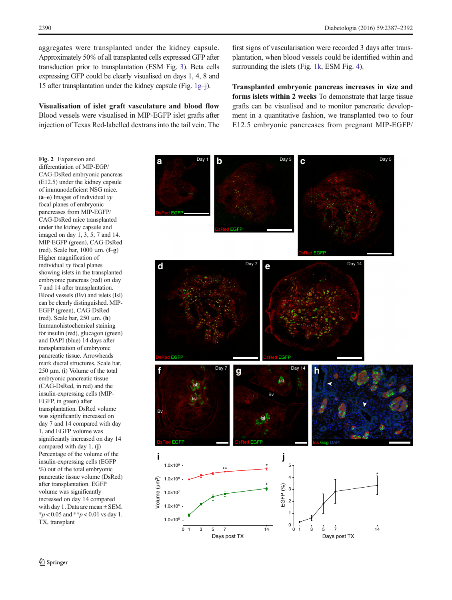<span id="page-3-0"></span>aggregates were transplanted under the kidney capsule. Approximately 50% of all transplanted cells expressed GFP after transduction prior to transplantation (ESM Fig. 3). Beta cells expressing GFP could be clearly visualised on days 1, 4, 8 and 15 after transplantation under the kidney capsule (Fig.  $1g-j$  $1g-j$ ).

Visualisation of islet graft vasculature and blood flow Blood vessels were visualised in MIP-EGFP islet grafts after injection of Texas Red-labelled dextrans into the tail vein. The

first signs of vascularisation were recorded 3 days after transplantation, when blood vessels could be identified within and surrounding the islets (Fig. [1k](#page-2-0), ESM Fig. 4).

Transplanted embryonic pancreas increases in size and forms islets within 2 weeks To demonstrate that large tissue grafts can be visualised and to monitor pancreatic development in a quantitative fashion, we transplanted two to four E12.5 embryonic pancreases from pregnant MIP-EGFP/

Fig. 2 Expansion and differentiation of MIP-EGP/ CAG-DsRed embryonic pancreas (E12.5) under the kidney capsule of immunodeficient NSG mice.  $(a-e)$  Images of individual xy focal planes of embryonic pancreases from MIP-EGFP/ CAG-DsRed mice transplanted under the kidney capsule and imaged on day 1, 3, 5, 7 and 14. MIP-EGFP (green), CAG-DsRed (red). Scale bar, 1000 μm. (f–g) Higher magnification of individual xy focal planes showing islets in the transplanted embryonic pancreas (red) on day 7 and 14 after transplantation. Blood vessels (Bv) and islets (Isl) can be clearly distinguished. MIP-EGFP (green), CAG-DsRed (red). Scale bar, 250 μm. (h) Immunohistochemical staining for insulin (red), glucagon (green) and DAPI (blue) 14 days after transplantation of embryonic pancreatic tissue. Arrowheads mark ductal structures. Scale bar, 250 μm. (i) Volume of the total embryonic pancreatic tissue (CAG-DsRed, in red) and the insulin-expressing cells (MIP-EGFP, in green) after transplantation. DsRed volume was significantly increased on day 7 and 14 compared with day 1, and EGFP volume was significantly increased on day 14 compared with day 1. (j) Percentage of the volume of the insulin-expressing cells (EGFP %) out of the total embryonic pancreatic tissue volume (DsRed) after transplantation. EGFP volume was significantly increased on day 14 compared with day 1. Data are mean  $\pm$  SEM.  $*_{p}$  < 0.05 and  $*_{p}$  < 0.01 vs day 1. TX, transplant

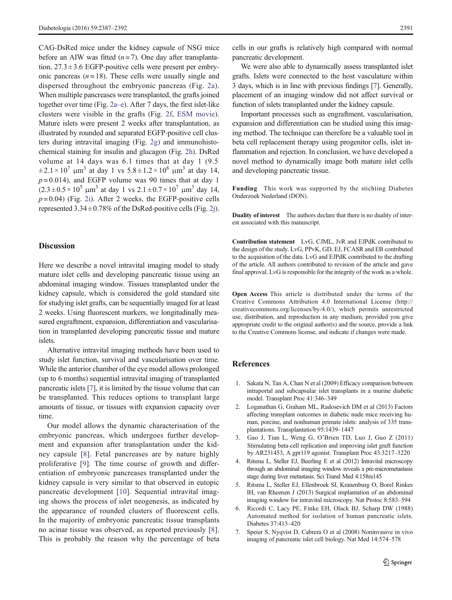<span id="page-4-0"></span>CAG-DsRed mice under the kidney capsule of NSG mice before an AIW was fitted  $(n=7)$ . One day after transplantation,  $27.3 \pm 3.6$  EGFP-positive cells were present per embryonic pancreas  $(n = 18)$ . These cells were usually single and dispersed throughout the embryonic pancreas (Fig. [2a](#page-3-0)). When multiple pancreases were transplanted, the grafts joined together over time (Fig. [2a](#page-3-0)–e). After 7 days, the first islet-like clusters were visible in the grafts (Fig. [2f,](#page-3-0) ESM movie). Mature islets were present 2 weeks after transplantation, as illustrated by rounded and separated EGFP-positive cell clusters during intravital imaging (Fig. [2g\)](#page-3-0) and immunohistochemical staining for insulin and glucagon (Fig. [2h\)](#page-3-0). DsRed volume at 14 days was 6.1 times that at day 1 (9.5  $\pm 2.1 \times 10^{7}$  μm<sup>3</sup> at day 1 vs  $5.8 \pm 1.2 \times 10^{8}$  μm<sup>3</sup> at day 14,  $p = 0.014$ ), and EGFP volume was 90 times that at day 1  $(2.3 \pm 0.5 \times 10^5 \text{ }\mu\text{m}^3 \text{ at day } 1 \text{ vs } 2.1 \pm 0.7 \times 10^7 \text{ }\mu\text{m}^3 \text{ day } 14,$  $p=0.04$ ) (Fig. [2i](#page-3-0)). After 2 weeks, the EGFP-positive cells represented  $3.34 \pm 0.78\%$  of the DsRed-positive cells (Fig. [2j\)](#page-3-0).

#### **Discussion**

Here we describe a novel intravital imaging model to study mature islet cells and developing pancreatic tissue using an abdominal imaging window. Tissues transplanted under the kidney capsule, which is considered the gold standard site for studying islet grafts, can be sequentially imaged for at least 2 weeks. Using fluorescent markers, we longitudinally measured engraftment, expansion, differentiation and vascularisation in transplanted developing pancreatic tissue and mature islets.

Alternative intravital imaging methods have been used to study islet function, survival and vascularisation over time. While the anterior chamber of the eye model allows prolonged (up to 6 months) sequential intravital imaging of transplanted pancreatic islets [7], it is limited by the tissue volume that can be transplanted. This reduces options to transplant large amounts of tissue, or tissues with expansion capacity over time.

Our model allows the dynamic characterisation of the embryonic pancreas, which undergoes further development and expansion after transplantation under the kidney capsule [[8\]](#page-5-0). Fetal pancreases are by nature highly proliferative [[9\]](#page-5-0). The time course of growth and differentiation of embryonic pancreases transplanted under the kidney capsule is very similar to that observed in eutopic pancreatic development [[10](#page-5-0)]. Sequential intravital imaging shows the process of islet neogenesis, as indicated by the appearance of rounded clusters of fluorescent cells. In the majority of embryonic pancreatic tissue transplants no acinar tissue was observed, as reported previously [\[8](#page-5-0)]. This is probably the reason why the percentage of beta cells in our grafts is relatively high compared with normal pancreatic development.

We were also able to dynamically assess transplanted islet grafts. Islets were connected to the host vasculature within 3 days, which is in line with previous findings [7]. Generally, placement of an imaging window did not affect survival or function of islets transplanted under the kidney capsule.

Important processes such as engraftment, vascularisation, expansion and differentiation can be studied using this imaging method. The technique can therefore be a valuable tool in beta cell replacement therapy using progenitor cells, islet inflammation and rejection. In conclusion, we have developed a novel method to dynamically image both mature islet cells and developing pancreatic tissue.

Funding This work was supported by the stichting Diabetes Onderzoek Nederland (DON).

Duality of interest The authors declare that there is no duality of interest associated with this manuscript.

Contribution statement LvG, CJML, JvR and EJPdK contributed to the design of the study. LvG, PPvK, GD, EJ, FCASR and EB contributed to the acquisition of the data. LvG and EJPdK contributed to the drafting of the article. All authors contributed to revision of the article and gave final approval. LvG is responsible for the integrity of the work as a whole.

Open Access This article is distributed under the terms of the Creative Commons Attribution 4.0 International License (http:// creativecommons.org/licenses/by/4.0/), which permits unrestricted use, distribution, and reproduction in any medium, provided you give appropriate credit to the original author(s) and the source, provide a link to the Creative Commons license, and indicate if changes were made.

# References

- 1. Sakata N, Tan A, Chan N et al (2009) Efficacy comparison between intraportal and subcapsular islet transplants in a murine diabetic model. Transplant Proc 41:346–349
- 2. Loganathan G, Graham ML, Radosevich DM et al (2013) Factors affecting transplant outcomes in diabetic nude mice receiving human, porcine, and nonhuman primate islets: analysis of 335 transplantations. Transplantation 95:1439–1447
- 3. Gao J, Tian L, Weng G, O'Brien TD, Luo J, Guo Z (2011) Stimulating beta-cell replication and improving islet graft function by AR231453, A gpr119 agonist. Transplant Proc 43:3217–3220
- 4. Ritsma L, Steller EJ, Beerling E et al (2012) Intravital microscopy through an abdominal imaging window reveals a pre-micrometastasis stage during liver metastasis. Sci Transl Med 4:158ra145
- 5. Ritsma L, Steller EJ, Ellenbroek SI, Kranenburg O, Borel Rinkes IH, van Rheenen J (2013) Surgical implantation of an abdominal imaging window for intravital microscopy. Nat Protoc 8:583–594
- 6. Ricordi C, Lacy PE, Finke EH, Olack BJ, Scharp DW (1988) Automated method for isolation of human pancreatic islets. Diabetes 37:413–420
- 7. Speier S, Nyqvist D, Cabrera O et al (2008) Noninvasive in vivo imaging of pancreatic islet cell biology. Nat Med 14:574–578